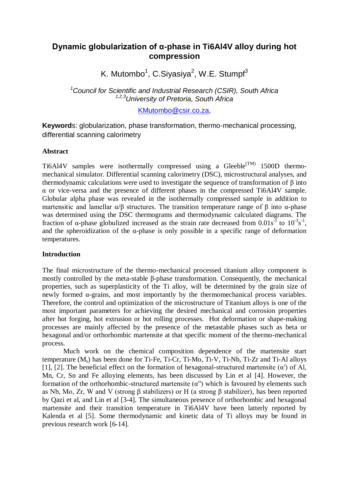# **Dynamic globularization of α-phase in Ti6Al4V alloy during hot compression**

K. Mutombo<sup>1</sup>, C.Siyasiya<sup>2</sup>, W.E. Stumpf<sup>3</sup>

*<sup>1</sup>Council for Scientific and Industrial Research (CSIR), South Africa 1,2,3University of Pretoria, South Africa*

[KMutombo@csir.co.za,](mailto:KMutombo@csir.co.za)

**Keyword**s: globularization, phase transformation, thermo-mechanical processing, differential scanning calorimetry

#### **Abstract**

Ti6Al4V samples were isothermally compressed using a Gleeble<sup> $(TM)$ </sup> 1500D thermomechanical simulator. Differential scanning calorimetry (DSC), microstructural analyses, and thermodynamic calculations were used to investigate the sequence of transformation of β into α or vice-versa and the presence of different phases in the compressed Ti6Al4V sample. Globular alpha phase was revealed in the isothermally compressed sample in addition to martensitic and lamellar  $α/β$  structures. The transition temperature range of β into α-phase was determined using the DSC thermograms and thermodynamic calculated diagrams. The fraction of  $\alpha$ -phase globulized increased as the strain rate decreased from  $0.01s^{-1}$  to  $10^{-3}s^{-1}$ , and the spheroidization of the  $\alpha$ -phase is only possible in a specific range of deformation temperatures.

### **Introduction**

The final microstructure of the thermo-mechanical processed titanium alloy component is mostly controlled by the meta-stable β-phase transformation. Consequently, the mechanical properties, such as superplasticity of the Ti alloy, will be determined by the grain size of newly formed α-grains, and most importantly by the thermomechanical process variables. Therefore, the control and optimization of the microstructure of Titanium alloys is one of the most important parameters for achieving the desired mechanical and corrosion properties after hot forging, hot extrusion or hot rolling processes. Hot deformation or shape-making processes are mainly affected by the presence of the metastable phases such as beta or hexagonal and/or orthorhombic martensite at that specific moment of the thermo-mechanical process.

Much work on the chemical composition dependence of the martensite start temperature (Ms) has been done for Ti-Fe, Ti-Cr, Ti-Mo, Ti-V, Ti-Nb, Ti-Zr and Ti-Al alloys [1], [2]. The beneficial effect on the formation of hexagonal-structured martensite  $(\alpha')$  of Al, Mn, Cr, Sn and Fe alloying elements, has been discussed by Lin et al [4]. However, the formation of the orthorhombic-structured martensite  $(\alpha'')$  which is favoured by elements such as Nb, Mo, Zr, W and V (strong β stabilizers) or H (a strong β stabilizer), has been reported by Qazi et al, and Lin et al [3-4]. The simultaneous presence of orthorhombic and hexagonal martensite and their transition temperature in Ti6Al4V have been latterly reported by Kalenda et al [5]. Some thermodynamic and kinetic data of Ti alloys may be found in previous research work [6-14].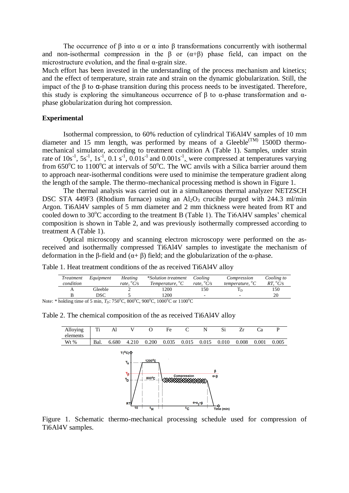The occurrence of  $\beta$  into  $\alpha$  or  $\alpha$  into  $\beta$  transformations concurrently with isothermal and non-isothermal compression in the  $\beta$  or  $(\alpha+\beta)$  phase field, can impact on the microstructure evolution, and the final  $\alpha$ -grain size.

Much effort has been invested in the understanding of the process mechanism and kinetics; and the effect of temperature, strain rate and strain on the dynamic globularization. Still, the impact of the β to  $α$ -phase transition during this process needs to be investigated. Therefore, this study is exploring the simultaneous occurrence of  $\beta$  to  $\alpha$ -phase transformation and  $\alpha$ phase globularization during hot compression.

#### **Experimental**

Isothermal compression, to 60% reduction of cylindrical Ti6Al4V samples of 10 mm diameter and 15 mm length, was performed by means of a Gleeble<sup> $(TM)$ </sup> 1500D thermomechanical simulator, according to treatment condition A (Table 1). Samples, under strain rate of  $10s^{-1}$ ,  $5s^{-1}$ ,  $1s^{-1}$ ,  $0.1 s^{-1}$ ,  $0.01 s^{-1}$  and  $0.001 s^{-1}$ , were compressed at temperatures varying from  $650^{\circ}$ C to  $1100^{\circ}$ C at intervals of  $50^{\circ}$ C. The WC anvils with a Silica barrier around them to approach near-isothermal conditions were used to minimise the temperature gradient along the length of the sample. The thermo-mechanical processing method is shown in Figure 1.

The thermal analysis was carried out in a simultaneous thermal analyzer NETZSCH DSC STA 449F3 (Rhodium furnace) using an  $Al_2O_3$  crucible purged with 244.3 ml/min Argon. Ti6Al4V samples of 5 mm diameter and 2 mm thickness were heated from RT and cooled down to  $30^{\circ}$ C according to the treatment B (Table 1). The Ti6Al4V samples' chemical composition is shown in Table 2, and was previously isothermally compressed according to treatment A (Table 1).

Optical microscopy and scanning electron microscopy were performed on the asreceived and isothermally compressed Ti6Al4V samples to investigate the mechanism of deformation in the β-field and (α+ β) field; and the globularization of the α-phase.

Table 1. Heat treatment conditions of the as received Ti6Al4V alloy

|                                                                              | <i>Treatment</i><br>condition | Equipment | <b>Heating</b><br>rate. $\mathrm{C/s}$ | *Solution treatment<br>Temperature, ${}^{\circ}C$ | Cooling<br>rate. $\mathrm{C/s}$ | Compression<br>temperature, ${}^{\circ}C$ | Cooling to<br>$RT.~^oC/s$ |
|------------------------------------------------------------------------------|-------------------------------|-----------|----------------------------------------|---------------------------------------------------|---------------------------------|-------------------------------------------|---------------------------|
|                                                                              |                               | Gleeble   |                                        | i 200-                                            | 150                             |                                           | 150                       |
|                                                                              |                               | DSC       |                                        | 1200                                              | -                               | -                                         | 20                        |
| Note: * holding time of 5 min, $T_D$ : 750°C, 800°C, 900°C, 1000°C or 1100°C |                               |           |                                        |                                                   |                                 |                                           |                           |



Table 2. The chemical composition of the as received Ti6Al4V alloy

Figure 1. Schematic thermo-mechanical processing schedule used for compression of Ti6Al4V samples.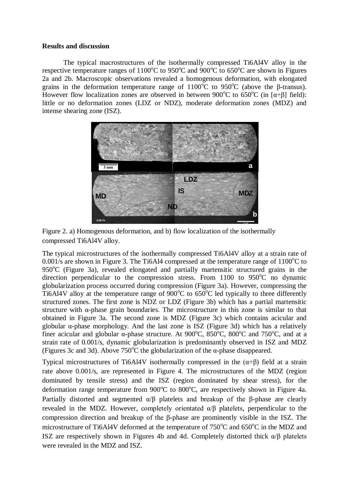#### **Results and discussion**

The typical macrostructures of the isothermally compressed Ti6Al4V alloy in the respective temperature ranges of  $1100^{\circ}$ C to  $950^{\circ}$ C and  $900^{\circ}$ C to  $650^{\circ}$ C are shown in Figures 2a and 2b. Macroscopic observations revealed a homogenous deformation, with elongated grains in the deformation temperature range of  $1100^{\circ}$ C to 950<sup>o</sup>C (above the β-transus). However flow localization zones are observed in between 900<sup>o</sup>C to 650<sup>o</sup>C (in [ $\alpha$ + $\beta$ ] field): little or no deformation zones (LDZ or NDZ), moderate deformation zones (MDZ) and intense shearing zone (ISZ).





The typical microstructures of the isothermally compressed Ti6Al4V alloy at a strain rate of 0.001/s are shown in Figure 3. The Ti6Al4 compressed at the temperature range of  $1100^{\circ}$ C to  $950^{\circ}$ C (Figure 3a), revealed elongated and partially martensitic structured grains in the direction perpendicular to the compression stress. From 1100 to  $950^{\circ}$ C no dynamic globularization process occurred during compression (Figure 3a). However, compressing the Ti6Al4V alloy at the temperature range of  $900^{\circ}$ C to  $650^{\circ}$ C led typically to three differently structured zones. The first zone is NDZ or LDZ (Figure 3b) which has a partial martensitic structure with α-phase grain boundaries. The microstructure in this zone is similar to that obtained in Figure 3a. The second zone is MDZ (Figure 3c) which contains acicular and globular  $\alpha$ -phase morphology. And the last zone is ISZ (Figure 3d) which has a relatively finer acicular and globular  $\alpha$ -phase structure. At 900<sup>o</sup>C, 850<sup>o</sup>C, 800<sup>o</sup>C and 750<sup>o</sup>C, and at a strain rate of 0.001/s, dynamic globularization is predominantly observed in ISZ and MDZ (Figures 3c and 3d). Above  $750^{\circ}$ C the globularization of the  $\alpha$ -phase disappeared.

Typical microstructures of Ti6Al4V isothermally compressed in the  $(\alpha + \beta)$  field at a strain rate above 0.001/s, are represented in Figure 4. The microstructures of the MDZ (region dominated by tensile stress) and the ISZ (region dominated by shear stress), for the deformation range temperature from  $900^{\circ}$ C to  $800^{\circ}$ C, are respectively shown in Figure 4a. Partially distorted and segmented  $α/β$  platelets and breakup of the β-phase are clearly revealed in the MDZ. However, completely orientated α/β platelets, perpendicular to the compression direction and breakup of the β-phase are prominently visible in the ISZ. The microstructure of Ti6Al4V deformed at the temperature of  $750^{\circ}$ C and  $650^{\circ}$ C in the MDZ and ISZ are respectively shown in Figures 4b and 4d. Completely distorted thick α/β platelets were revealed in the MDZ and ISZ.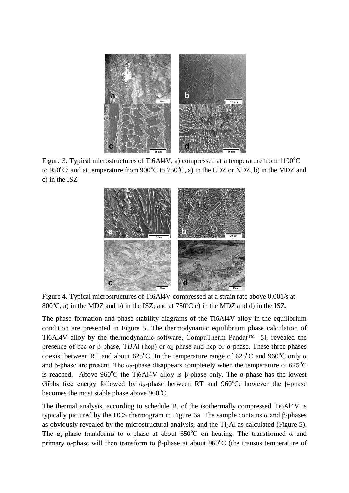

Figure 3. Typical microstructures of Ti6Al4V, a) compressed at a temperature from  $1100^{\circ}$ C to 950°C; and at temperature from 900°C to 750°C, a) in the LDZ or NDZ, b) in the MDZ and c) in the ISZ



Figure 4. Typical microstructures of Ti6Al4V compressed at a strain rate above 0.001/s at 800 $^{\circ}$ C, a) in the MDZ and b) in the ISZ; and at 750 $^{\circ}$ C c) in the MDZ and d) in the ISZ.

The phase formation and phase stability diagrams of the Ti6Al4V alloy in the equilibrium condition are presented in Figure 5. The thermodynamic equilibrium phase calculation of Ti6Al4V alloy by the thermodynamic software, CompuTherm Pandat™ [5], revealed the presence of bcc or β-phase, Ti3Al (hcp) or  $\alpha_2$ -phase and hcp or α-phase. These three phases coexist between RT and about 625<sup>o</sup>C. In the temperature range of 625<sup>o</sup>C and 960<sup>o</sup>C only  $\alpha$ and β-phase are present. The  $\alpha_2$ -phase disappears completely when the temperature of 625<sup>o</sup>C is reached. Above 960<sup>o</sup>C the Ti6Al4V alloy is β-phase only. The α-phase has the lowest Gibbs free energy followed by  $\alpha_2$ -phase between RT and 960°C; however the β-phase becomes the most stable phase above  $960^{\circ}$ C.

The thermal analysis, according to schedule B, of the isothermally compressed Ti6Al4V is typically pictured by the DCS thermogram in Figure 6a. The sample contains α and β-phases as obviously revealed by the microstructural analysis, and the  $Ti<sub>3</sub>Al$  as calculated (Figure 5). The  $\alpha_2$ -phase transforms to  $\alpha$ -phase at about 650°C on heating. The transformed  $\alpha$  and primary α-phase will then transform to β-phase at about 960<sup>o</sup>C (the transus temperature of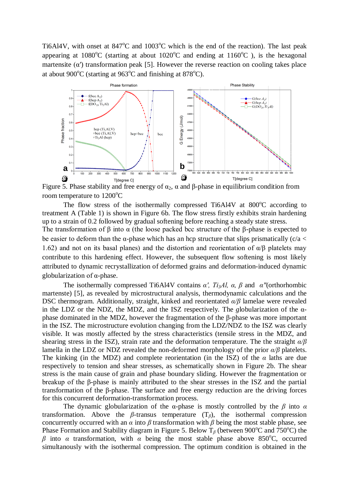Ti6Al4V, with onset at  $847^{\circ}$ C and  $1003^{\circ}$ C which is the end of the reaction). The last peak appearing at  $1080^{\circ}$ C (starting at about  $1020^{\circ}$ C and ending at  $1160^{\circ}$ C), is the hexagonal martensite  $(\alpha')$  transformation peak [5]. However the reverse reaction on cooling takes place at about 900 $^{\circ}$ C (starting at 963 $^{\circ}$ C and finishing at 878 $^{\circ}$ C).



Figure 5. Phase stability and free energy of  $\alpha_2$ , α and β-phase in equilibrium condition from room temperature to  $1200^{\circ}$ C

The flow stress of the isothermally compressed Ti6Al4V at  $800^{\circ}$ C according to treatment A (Table 1) is shown in Figure 6b. The flow stress firstly exhibits strain hardening up to a strain of 0.2 followed by gradual softening before reaching a steady state stress. The transformation of  $\beta$  into  $\alpha$  (the loose packed bcc structure of the  $\beta$ -phase is expected to

be easier to deform than the  $\alpha$ -phase which has an hcp structure that slips prismatically (c/a < 1.62) and not on its basal planes) and the distortion and reorientation of  $\alpha/\beta$  platelets may contribute to this hardening effect. However, the subsequent flow softening is most likely attributed to dynamic recrystallization of deformed grains and deformation-induced dynamic globularization of α-phase.

The isothermally compressed Ti6Al4V contains *α′, Ti3Al, α, β* and *α"*(orthorhombic martenste) [5], as revealed by microstructural analysis, thermodynamic calculations and the DSC thermogram. Additionally, straight, kinked and reorientated *α/β* lamelae were revealed in the LDZ or the NDZ, the MDZ, and the ISZ respectively*.* The *g*lobularization of the αphase dominated in the MDZ, however the fragmentation of the β-phase was more important in the ISZ. The microstructure evolution changing from the LDZ/NDZ to the ISZ was clearly visible. It was mostly affected by the stress characteristics (tensile stress in the MDZ, and shearing stress in the ISZ), strain rate and the deformation temperature. The the straight *α/β*  lamella in the LDZ or NDZ revealed the non-deformed morphology of the prior *α/β* platelets. The kinking (in the MDZ) and complete reorientation (in the ISZ) of the *α* laths are due respectively to tension and shear stresses, as schematically shown in Figure 2b. The shear stress is the main cause of grain and phase boundary sliding. However the fragmentation or breakup of the β-phase is mainly attributed to the shear stresses in the ISZ and the partial transformation of the β-phase. The surface and free energy reduction are the driving forces for this concurrent deformation-transformation process.

The dynamic globularization of the  $\alpha$ -phase is mostly controlled by the  $\beta$  into  $\alpha$ transformation. Above the *β-*transus temperature (T*β*), the isothermal compression concurrently occurred with an  $\alpha$  into  $\beta$  transformation with  $\beta$  being the most stable phase, see Phase Formation and Stability diagram in Figure 5. Below T<sub>β</sub> (between 900<sup>o</sup>C and 750<sup>o</sup>C) the *β* into *α* transformation, with *α* being the most stable phase above 850<sup>o</sup>C, occurred simultanously with the isothermal compression. The optimum condition is obtained in the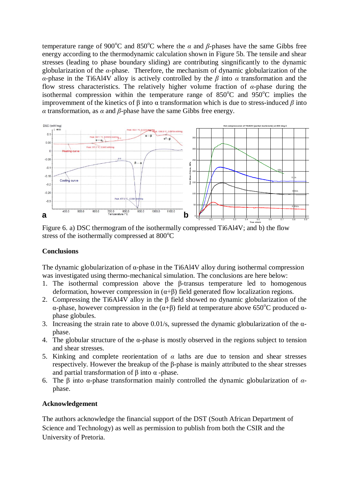temperature range of 900<sup>o</sup>C and 850<sup>o</sup>C where the  $\alpha$  and  $\beta$ -phases have the same Gibbs free energy according to the thermodynamic calculation shown in Figure 5b. The tensile and shear stresses (leading to phase boundary sliding) are contributing singnificantly to the dynamic globularization of the *α*-phase. Therefore, the mechanism of dynamic globularization of the *α-*phase in the Ti6Al4V alloy is actively controlled by the *β* into *α* transformation and the flow stress characteristics. The relatively higher volume fraction of *α*-phase during the isothermal compression within the temperature range of  $850^{\circ}$ C and  $950^{\circ}$ C implies the improvemment of the kinetics of β into α transformation which is due to stress-induced *β* into *α* transformation, as *α* and *β*-phase have the same Gibbs free energy.



Figure 6. a) DSC thermogram of the isothermally compressed Ti6Al4V; and b) the flow stress of the isothermally compressed at  $800^{\circ}$ C

## **Conclusions**

The dynamic globularization of α-phase in the Ti6Al4V alloy during isothermal compression was investigated using thermo-mechanical simulation. The conclusions are here below:

- 1. The isothermal compression above the β-transus temperature led to homogenous deformation, however compression in  $(\alpha + \beta)$  field generated flow localization regions.
- 2. Compressing the Ti6Al4V alloy in the β field showed no dynamic globularization of the α-phase, however compression in the  $(α+β)$  field at temperature above 650<sup>o</sup>C produced αphase globules.
- 3. Increasing the strain rate to above 0.01/s, supressed the dynamic globularization of the αphase.
- 4. The globular structure of the α-phase is mostly observed in the regions subject to tension and shear stresses.
- 5. Kinking and complete reorientation of *α* laths are due to tension and shear stresses respectively. However the breakup of the β-phase is mainly attributed to the shear stresses and partial transformation of β into  $α$  -phase.
- 6. The β into α-phase transformation mainly controlled the dynamic globularization of *α*phase.

# **Acknowledgement**

The authors acknowledge the financial support of the DST (South African Department of Science and Technology) as well as permission to publish from both the CSIR and the University of Pretoria.